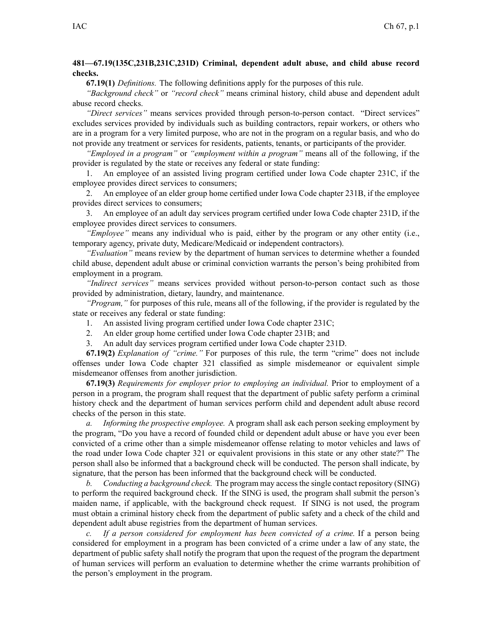## **481—67.19(135C,231B,231C,231D) Criminal, dependent adult abuse, and child abuse record checks.**

**67.19(1)** *Definitions.* The following definitions apply for the purposes of this rule.

*"Background check"* or *"record check"* means criminal history, child abuse and dependent adult abuse record checks.

*"Direct services"* means services provided through person-to-person contact. "Direct services" excludes services provided by individuals such as building contractors, repair workers, or others who are in <sup>a</sup> program for <sup>a</sup> very limited purpose, who are not in the program on <sup>a</sup> regular basis, and who do not provide any treatment or services for residents, patients, tenants, or participants of the provider.

*"Employed in <sup>a</sup> program"* or *"employment within <sup>a</sup> program"* means all of the following, if the provider is regulated by the state or receives any federal or state funding:

1. An employee of an assisted living program certified under Iowa Code chapter [231C](https://www.legis.iowa.gov/docs/ico/chapter/231C.pdf), if the employee provides direct services to consumers;

2. An employee of an elder group home certified under Iowa Code chapter [231B](https://www.legis.iowa.gov/docs/ico/chapter/231B.pdf), if the employee provides direct services to consumers;

3. An employee of an adult day services program certified under Iowa Code chapter [231D](https://www.legis.iowa.gov/docs/ico/chapter/231D.pdf), if the employee provides direct services to consumers.

*"Employee"* means any individual who is paid, either by the program or any other entity (i.e., temporary agency, private duty, Medicare/Medicaid or independent contractors).

*"Evaluation"* means review by the department of human services to determine whether <sup>a</sup> founded child abuse, dependent adult abuse or criminal conviction warrants the person's being prohibited from employment in <sup>a</sup> program.

*"Indirect services"* means services provided without person-to-person contact such as those provided by administration, dietary, laundry, and maintenance.

*"Program,"* for purposes of this rule, means all of the following, if the provider is regulated by the state or receives any federal or state funding:

1. An assisted living program certified under Iowa Code chapter [231C](https://www.legis.iowa.gov/docs/ico/chapter/231C.pdf);

2. An elder group home certified under Iowa Code chapter [231B](https://www.legis.iowa.gov/docs/ico/chapter/231B.pdf); and

3. An adult day services program certified under Iowa Code chapter [231D](https://www.legis.iowa.gov/docs/ico/chapter/231D.pdf).

**67.19(2)** *Explanation of "crime."* For purposes of this rule, the term "crime" does not include offenses under Iowa Code chapter [321](https://www.legis.iowa.gov/docs/ico/chapter/321.pdf) classified as simple misdemeanor or equivalent simple misdemeanor offenses from another jurisdiction.

**67.19(3)** *Requirements for employer prior to employing an individual.* Prior to employment of <sup>a</sup> person in <sup>a</sup> program, the program shall reques<sup>t</sup> that the department of public safety perform <sup>a</sup> criminal history check and the department of human services perform child and dependent adult abuse record checks of the person in this state.

*a. Informing the prospective employee.* A program shall ask each person seeking employment by the program, "Do you have <sup>a</sup> record of founded child or dependent adult abuse or have you ever been convicted of <sup>a</sup> crime other than <sup>a</sup> simple misdemeanor offense relating to motor vehicles and laws of the road under Iowa Code chapter [321](https://www.legis.iowa.gov/docs/ico/chapter/321.pdf) or equivalent provisions in this state or any other state?" The person shall also be informed that <sup>a</sup> background check will be conducted. The person shall indicate, by signature, that the person has been informed that the background check will be conducted.

*b. Conducting <sup>a</sup> background check.* The program may accessthe single contact repository (SING) to perform the required background check. If the SING is used, the program shall submit the person's maiden name, if applicable, with the background check request. If SING is not used, the program must obtain <sup>a</sup> criminal history check from the department of public safety and <sup>a</sup> check of the child and dependent adult abuse registries from the department of human services.

*c. If <sup>a</sup> person considered for employment has been convicted of <sup>a</sup> crime.* If <sup>a</sup> person being considered for employment in <sup>a</sup> program has been convicted of <sup>a</sup> crime under <sup>a</sup> law of any state, the department of public safety shall notify the program that upon the reques<sup>t</sup> of the program the department of human services will perform an evaluation to determine whether the crime warrants prohibition of the person's employment in the program.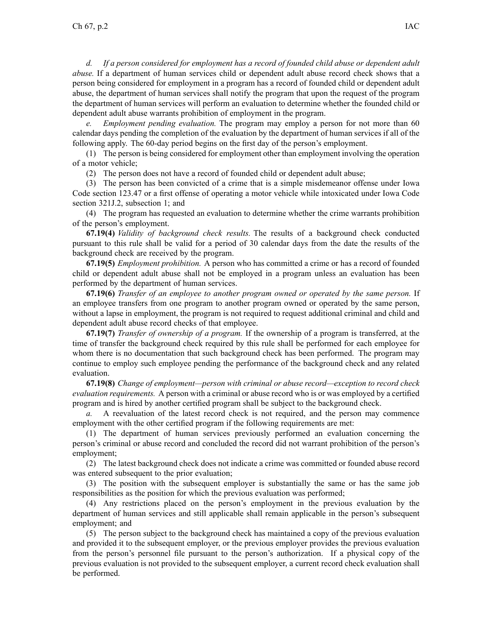*d. If <sup>a</sup> person considered for employment has <sup>a</sup> record of founded child abuse or dependent adult abuse.* If <sup>a</sup> department of human services child or dependent adult abuse record check shows that <sup>a</sup> person being considered for employment in <sup>a</sup> program has <sup>a</sup> record of founded child or dependent adult abuse, the department of human services shall notify the program that upon the reques<sup>t</sup> of the program the department of human services will perform an evaluation to determine whether the founded child or dependent adult abuse warrants prohibition of employment in the program.

*e. Employment pending evaluation.* The program may employ <sup>a</sup> person for not more than 60 calendar days pending the completion of the evaluation by the department of human services if all of the following apply. The 60-day period begins on the first day of the person's employment.

(1) The person is being considered for employment other than employment involving the operation of <sup>a</sup> motor vehicle;

(2) The person does not have <sup>a</sup> record of founded child or dependent adult abuse;

(3) The person has been convicted of <sup>a</sup> crime that is <sup>a</sup> simple misdemeanor offense under Iowa Code section [123.47](https://www.legis.iowa.gov/docs/ico/section/123.47.pdf) or <sup>a</sup> first offense of operating <sup>a</sup> motor vehicle while intoxicated under Iowa Code section 321J.2, [subsection](https://www.legis.iowa.gov/docs/ico/section/321J.2.pdf) 1; and

(4) The program has requested an evaluation to determine whether the crime warrants prohibition of the person's employment.

**67.19(4)** *Validity of background check results.* The results of <sup>a</sup> background check conducted pursuan<sup>t</sup> to this rule shall be valid for <sup>a</sup> period of 30 calendar days from the date the results of the background check are received by the program.

**67.19(5)** *Employment prohibition.* A person who has committed <sup>a</sup> crime or has <sup>a</sup> record of founded child or dependent adult abuse shall not be employed in <sup>a</sup> program unless an evaluation has been performed by the department of human services.

**67.19(6)** *Transfer of an employee to another program owned or operated by the same person.* If an employee transfers from one program to another program owned or operated by the same person, without <sup>a</sup> lapse in employment, the program is not required to reques<sup>t</sup> additional criminal and child and dependent adult abuse record checks of that employee.

**67.19(7)** *Transfer of ownership of <sup>a</sup> program.* If the ownership of <sup>a</sup> program is transferred, at the time of transfer the background check required by this rule shall be performed for each employee for whom there is no documentation that such background check has been performed. The program may continue to employ such employee pending the performance of the background check and any related evaluation.

**67.19(8)** *Change of employment—person with criminal or abuse record—exception to record check evaluation requirements.* A person with <sup>a</sup> criminal or abuse record who is or was employed by <sup>a</sup> certified program and is hired by another certified program shall be subject to the background check.

*a.* A reevaluation of the latest record check is not required, and the person may commence employment with the other certified program if the following requirements are met:

(1) The department of human services previously performed an evaluation concerning the person's criminal or abuse record and concluded the record did not warrant prohibition of the person's employment;

(2) The latest background check does not indicate <sup>a</sup> crime was committed or founded abuse record was entered subsequent to the prior evaluation;

(3) The position with the subsequent employer is substantially the same or has the same job responsibilities as the position for which the previous evaluation was performed;

(4) Any restrictions placed on the person's employment in the previous evaluation by the department of human services and still applicable shall remain applicable in the person's subsequent employment; and

(5) The person subject to the background check has maintained <sup>a</sup> copy of the previous evaluation and provided it to the subsequent employer, or the previous employer provides the previous evaluation from the person's personnel file pursuan<sup>t</sup> to the person's authorization. If <sup>a</sup> physical copy of the previous evaluation is not provided to the subsequent employer, <sup>a</sup> current record check evaluation shall be performed.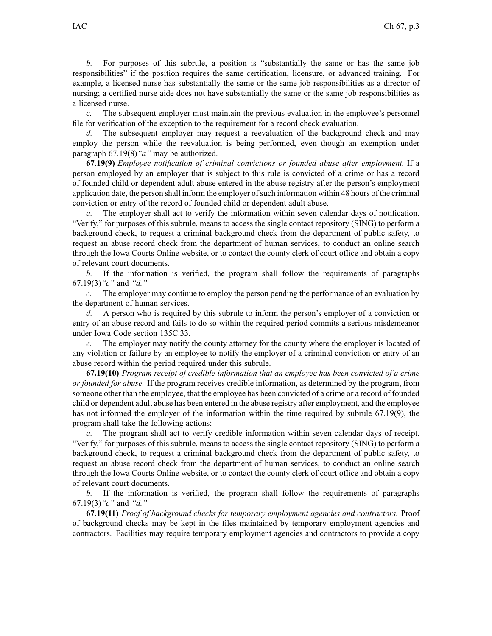*b.* For purposes of this subrule, a position is "substantially the same or has the same job responsibilities" if the position requires the same certification, licensure, or advanced training. For example, <sup>a</sup> licensed nurse has substantially the same or the same job responsibilities as <sup>a</sup> director of nursing; <sup>a</sup> certified nurse aide does not have substantially the same or the same job responsibilities as <sup>a</sup> licensed nurse.

*c.* The subsequent employer must maintain the previous evaluation in the employee's personnel file for verification of the exception to the requirement for <sup>a</sup> record check evaluation.

The subsequent employer may request a reevaluation of the background check and may employ the person while the reevaluation is being performed, even though an exemption under paragraph [67.19\(8\)](https://www.legis.iowa.gov/docs/iac/rule/481.67.19.pdf)*"a"* may be authorized.

**67.19(9)** *Employee notification of criminal convictions or founded abuse after employment.* If <sup>a</sup> person employed by an employer that is subject to this rule is convicted of <sup>a</sup> crime or has <sup>a</sup> record of founded child or dependent adult abuse entered in the abuse registry after the person's employment application date, the person shall inform the employer of such information within 48 hours of the criminal conviction or entry of the record of founded child or dependent adult abuse.

*a.* The employer shall act to verify the information within seven calendar days of notification. "Verify," for purposes of this subrule, means to access the single contact repository (SING) to perform <sup>a</sup> background check, to reques<sup>t</sup> <sup>a</sup> criminal background check from the department of public safety, to reques<sup>t</sup> an abuse record check from the department of human services, to conduct an online search through the Iowa Courts Online website, or to contact the county clerk of court office and obtain <sup>a</sup> copy of relevant court documents.

*b.* If the information is verified, the program shall follow the requirements of paragraphs [67.19\(3\)](https://www.legis.iowa.gov/docs/iac/rule/481.67.19.pdf)*"c"* and *"d."*

*c.* The employer may continue to employ the person pending the performance of an evaluation by the department of human services.

*d.* A person who is required by this subrule to inform the person's employer of <sup>a</sup> conviction or entry of an abuse record and fails to do so within the required period commits <sup>a</sup> serious misdemeanor under Iowa Code section [135C.33](https://www.legis.iowa.gov/docs/ico/section/135C.33.pdf).

*e.* The employer may notify the county attorney for the county where the employer is located of any violation or failure by an employee to notify the employer of <sup>a</sup> criminal conviction or entry of an abuse record within the period required under this subrule.

**67.19(10)** *Program receipt of credible information that an employee has been convicted of <sup>a</sup> crime or founded for abuse.* If the program receives credible information, as determined by the program, from someone other than the employee, that the employee has been convicted of <sup>a</sup> crime or <sup>a</sup> record of founded child or dependent adult abuse has been entered in the abuse registry after employment, and the employee has not informed the employer of the information within the time required by subrule [67.19\(9\)](https://www.legis.iowa.gov/docs/iac/rule/481.67.19.pdf), the program shall take the following actions:

*a.* The program shall act to verify credible information within seven calendar days of receipt. "Verify," for purposes of this subrule, means to access the single contact repository (SING) to perform <sup>a</sup> background check, to reques<sup>t</sup> <sup>a</sup> criminal background check from the department of public safety, to reques<sup>t</sup> an abuse record check from the department of human services, to conduct an online search through the Iowa Courts Online website, or to contact the county clerk of court office and obtain <sup>a</sup> copy of relevant court documents.

*b.* If the information is verified, the program shall follow the requirements of paragraphs [67.19\(3\)](https://www.legis.iowa.gov/docs/iac/rule/481.67.19.pdf)*"c"* and *"d."*

**67.19(11)** *Proof of background checks for temporary employment agencies and contractors.* Proof of background checks may be kept in the files maintained by temporary employment agencies and contractors. Facilities may require temporary employment agencies and contractors to provide <sup>a</sup> copy